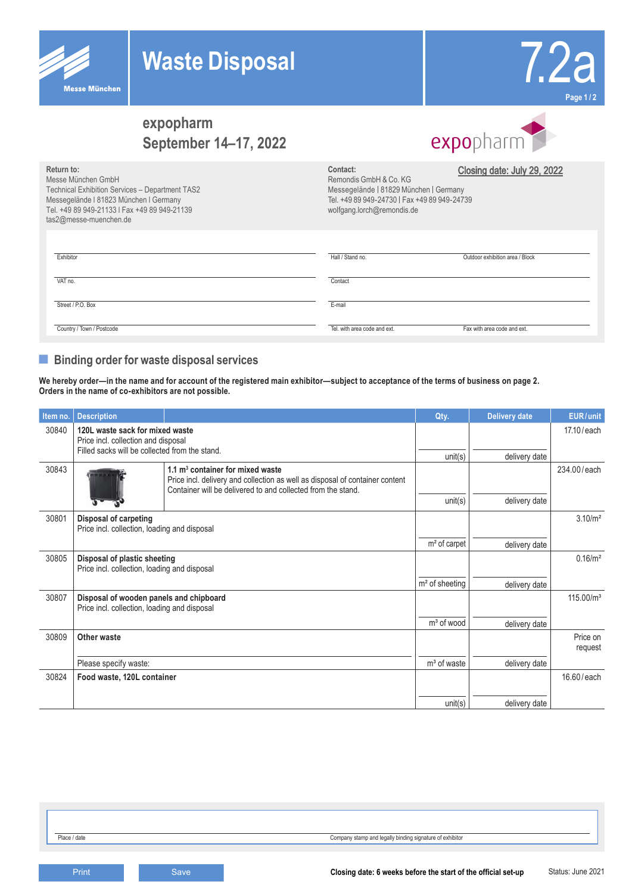

**Return to:**

Messe München GmbH

Technical Exhibition Services – Department TAS2



## **expopharm September 14–17, 2022**

# expopharm

Closing date: July 29, 2022

| Messegelände I 81823 München I Germany<br>Tel. +49 89 949-21133   Fax +49 89 949-21139<br>tas2@messe-muenchen.de | Tel. +49 89 949-24730   Fax +49 89 949-24739<br>wolfgang.lorch@remondis.de |                                 |  |
|------------------------------------------------------------------------------------------------------------------|----------------------------------------------------------------------------|---------------------------------|--|
| Exhibitor                                                                                                        | Hall / Stand no.                                                           | Outdoor exhibition area / Block |  |
| VAT no.                                                                                                          | Contact                                                                    |                                 |  |
| Street / P.O. Box                                                                                                | E-mail                                                                     |                                 |  |
| Country / Town / Postcode                                                                                        | Tel, with area code and ext.                                               | Fax with area code and ext.     |  |

**Contact:**

Remondis GmbH & Co. KG

Messegelände | 81829 München | Germany

### **■ Binding order for waste disposal services**

**We hereby order—in the name and for account of the registered main exhibitor—subject to acceptance of the terms of business on page 2. Orders in the name of co-exhibitors are not possible.**

| Item no. | <b>Description</b>                                                                                                       |                                                                                                                                                                                             | Qty.                     | <b>Delivery date</b> | EUR/unit              |
|----------|--------------------------------------------------------------------------------------------------------------------------|---------------------------------------------------------------------------------------------------------------------------------------------------------------------------------------------|--------------------------|----------------------|-----------------------|
| 30840    | 120L waste sack for mixed waste<br>Price incl. collection and disposal<br>Filled sacks will be collected from the stand. |                                                                                                                                                                                             |                          |                      | 17.10/each            |
|          |                                                                                                                          |                                                                                                                                                                                             | unit(s)                  | delivery date        |                       |
| 30843    |                                                                                                                          | $1.1 \text{ m}^3$ container for mixed waste<br>Price incl. delivery and collection as well as disposal of container content<br>Container will be delivered to and collected from the stand. |                          |                      | 234.00/each           |
|          |                                                                                                                          |                                                                                                                                                                                             | unit(s)                  | delivery date        |                       |
| 30801    | Disposal of carpeting<br>Price incl. collection, loading and disposal                                                    |                                                                                                                                                                                             |                          |                      | 3.10/m <sup>2</sup>   |
|          |                                                                                                                          |                                                                                                                                                                                             | m <sup>2</sup> of carpet | delivery date        |                       |
| 30805    | Disposal of plastic sheeting<br>Price incl. collection, loading and disposal                                             |                                                                                                                                                                                             |                          |                      | 0.16/m <sup>2</sup>   |
|          |                                                                                                                          |                                                                                                                                                                                             | $m2$ of sheeting         | delivery date        |                       |
| 30807    | Disposal of wooden panels and chipboard<br>Price incl. collection, loading and disposal                                  |                                                                                                                                                                                             |                          |                      | 115.00/m <sup>3</sup> |
|          |                                                                                                                          |                                                                                                                                                                                             | $m3$ of wood             | delivery date        |                       |
| 30809    | Other waste                                                                                                              |                                                                                                                                                                                             |                          |                      | Price on<br>request   |
|          | Please specify waste:                                                                                                    |                                                                                                                                                                                             | $m3$ of waste            | delivery date        |                       |
| 30824    | Food waste, 120L container                                                                                               |                                                                                                                                                                                             |                          |                      | 16.60/each            |
|          |                                                                                                                          |                                                                                                                                                                                             | unit(s)                  | delivery date        |                       |